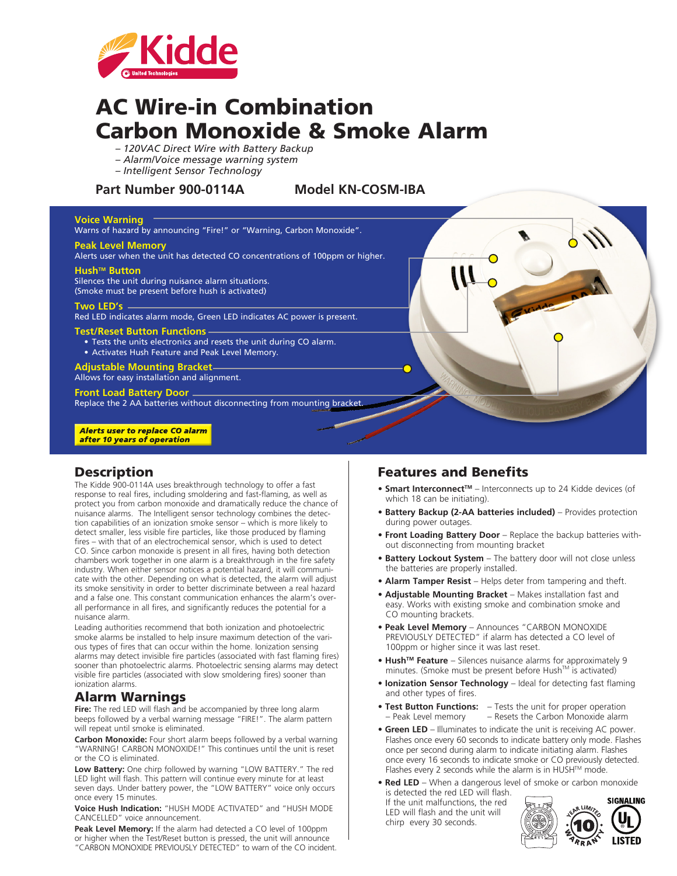

# AC Wire-in Combination Carbon Monoxide & Smoke Alarm

- *120VAC Direct Wire with Battery Backup*
- *Alarm/Voice message warning system*
- *Intelligent Sensor Technology*

### **Part Number 900-0114A Model KN-COSM-IBA**

### **Voice Warning**

Warns of hazard by announcing "Fire!" or "Warning, Carbon Monoxide".

#### **Peak Level Memory**

Alerts user when the unit has detected CO concentrations of 100ppm or higher.

#### Hush<sup>™</sup> Button

Silences the unit during nuisance alarm situations.

(Smoke must be present before hush is activated)

#### **Two LED's**

Red LED indicates alarm mode, Green LED indicates AC power is present.

#### **Test/Reset Button Functions**

- Tests the units electronics and resets the unit during CO alarm.
- Activates Hush Feature and Peak Level Memory.

**Adjustable Mounting Bracket** Allows for easy installation and alignment.

### **Front Load Battery Door**

Replace the 2 AA batteries without disconnecting from mounting bracket.

#### **Alerts user to replace CO alarm** after 10 years of operation

### **Description**

The Kidde 900-0114A uses breakthrough technology to offer a fast response to real fires, including smoldering and fast-flaming, as well as protect you from carbon monoxide and dramatically reduce the chance of nuisance alarms. The Intelligent sensor technology combines the detection capabilities of an ionization smoke sensor – which is more likely to detect smaller, less visible fire particles, like those produced by flaming fires – with that of an electrochemical sensor, which is used to detect CO. Since carbon monoxide is present in all fires, having both detection chambers work together in one alarm is a breakthrough in the fire safety industry. When either sensor notices a potential hazard, it will communicate with the other. Depending on what is detected, the alarm will adjust its smoke sensitivity in order to better discriminate between a real hazard and a false one. This constant communication enhances the alarm's overall performance in all fires, and significantly reduces the potential for a nuisance alarm.

Leading authorities recommend that both ionization and photoelectric smoke alarms be installed to help insure maximum detection of the various types of fires that can occur within the home. Ionization sensing alarms may detect invisible fire particles (associated with fast flaming fires) sooner than photoelectric alarms. Photoelectric sensing alarms may detect visible fire particles (associated with slow smoldering fires) sooner than ionization alarms.

### Alarm Warnings

Fire: The red LED will flash and be accompanied by three long alarm beeps followed by a verbal warning message "FIRE!". The alarm pattern will repeat until smoke is eliminated.

**Carbon Monoxide:** Four short alarm beeps followed by a verbal warning "WARNING! CARBON MONOXIDE!" This continues until the unit is reset or the CO is eliminated.

**Low Battery:** One chirp followed by warning "LOW BATTERY." The red LED light will flash. This pattern will continue every minute for at least seven days. Under battery power, the "LOW BATTERY" voice only occurs once every 15 minutes.

**Voice Hush Indication:** "HUSH MODE ACTIVATED" and "HUSH MODE CANCELLED" voice announcement.

**Peak Level Memory:** If the alarm had detected a CO level of 100ppm or higher when the Test/Reset button is pressed, the unit will announce "CARBON MONOXIDE PREVIOUSLY DETECTED" to warn of the CO incident.

### Features and Benefits

- **Smart Interconnect™** Interconnects up to 24 Kidde devices (of which 18 can be initiating).
- **Battery Backup (2-AA batteries included)** Provides protection during power outages.
- **Front Loading Battery Door** Replace the backup batteries without disconnecting from mounting bracket
- **Battery Lockout System** The battery door will not close unless the batteries are properly installed.
- **Alarm Tamper Resist** Helps deter from tampering and theft.
- **Adjustable Mounting Bracket** Makes installation fast and easy. Works with existing smoke and combination smoke and CO mounting brackets.
- **Peak Level Memory** Announces "CARBON MONOXIDE PREVIOUSLY DETECTED" if alarm has detected a CO level of 100ppm or higher since it was last reset.
- Hush<sup>™</sup> Feature Silences nuisance alarms for approximately 9 minutes. (Smoke must be present before Hush™ is activated)
- **Ionization Sensor Technology** Ideal for detecting fast flaming and other types of fires.
- **Test Button Functions:** Tests the unit for proper operation – Peak Level memory – Resets the Carbon Monoxide alarm
- **Green LED** Illuminates to indicate the unit is receiving AC power. Flashes once every 60 seconds to indicate battery only mode. Flashes once per second during alarm to indicate initiating alarm. Flashes once every 16 seconds to indicate smoke or CO previously detected. Flashes every 2 seconds while the alarm is in HUSH™ mode.
- **Red LED** When a dangerous level of smoke or carbon monoxide is detected the red LED will flash.

If the unit malfunctions, the red LED will flash and the unit will chirp every 30 seconds.